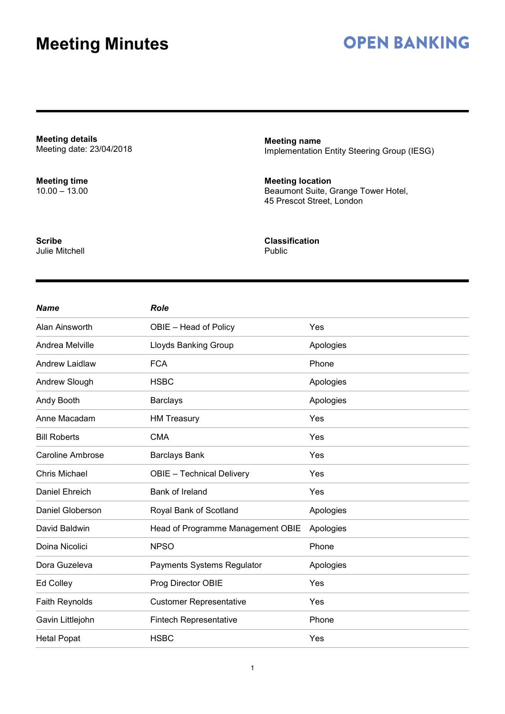## **OPEN BANKING**

**Meeting details** Meeting date: 23/04/2018

**Meeting time** 10.00 – 13.00 **Meeting name** Implementation Entity Steering Group (IESG)

**Meeting location** Beaumont Suite, Grange Tower Hotel, 45 Prescot Street, London

**Scribe** Julie Mitchell **Classification** Public

| <b>Name</b>             | <b>Role</b>                       |           |
|-------------------------|-----------------------------------|-----------|
| Alan Ainsworth          | OBIE - Head of Policy             | Yes       |
| Andrea Melville         | Lloyds Banking Group              | Apologies |
| Andrew Laidlaw          | <b>FCA</b>                        | Phone     |
| Andrew Slough           | <b>HSBC</b>                       | Apologies |
| Andy Booth              | <b>Barclays</b>                   | Apologies |
| Anne Macadam            | <b>HM Treasury</b>                | Yes       |
| <b>Bill Roberts</b>     | <b>CMA</b>                        | Yes       |
| <b>Caroline Ambrose</b> | <b>Barclays Bank</b>              | Yes       |
| <b>Chris Michael</b>    | <b>OBIE</b> - Technical Delivery  | Yes       |
| Daniel Ehreich          | Bank of Ireland                   | Yes       |
| Daniel Globerson        | Royal Bank of Scotland            | Apologies |
| David Baldwin           | Head of Programme Management OBIE | Apologies |
| Doina Nicolici          | <b>NPSO</b>                       | Phone     |
| Dora Guzeleva           | Payments Systems Regulator        | Apologies |
| Ed Colley               | Prog Director OBIE                | Yes       |
| <b>Faith Reynolds</b>   | <b>Customer Representative</b>    | Yes       |
| Gavin Littlejohn        | <b>Fintech Representative</b>     | Phone     |
| <b>Hetal Popat</b>      | <b>HSBC</b>                       | Yes       |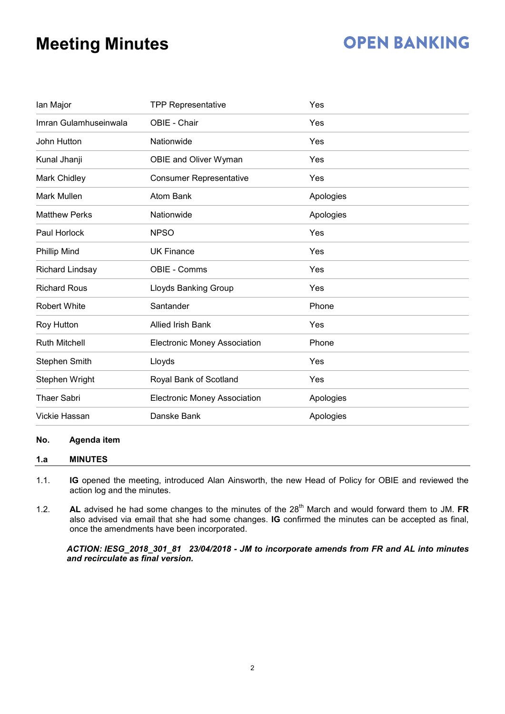# **OPEN BANKING**

| lan Major             | <b>TPP Representative</b>           | Yes       |
|-----------------------|-------------------------------------|-----------|
| Imran Gulamhuseinwala | OBIE - Chair                        | Yes       |
| John Hutton           | Nationwide                          | Yes       |
| Kunal Jhanji          | OBIE and Oliver Wyman               | Yes       |
| Mark Chidley          | <b>Consumer Representative</b>      | Yes       |
| Mark Mullen           | <b>Atom Bank</b>                    | Apologies |
| <b>Matthew Perks</b>  | Nationwide                          | Apologies |
| Paul Horlock          | <b>NPSO</b>                         | Yes       |
| <b>Phillip Mind</b>   | <b>UK Finance</b>                   | Yes       |
| Richard Lindsay       | OBIE - Comms                        | Yes       |
| <b>Richard Rous</b>   | Lloyds Banking Group                | Yes       |
| <b>Robert White</b>   | Santander                           | Phone     |
| Roy Hutton            | <b>Allied Irish Bank</b>            | Yes       |
| <b>Ruth Mitchell</b>  | <b>Electronic Money Association</b> | Phone     |
| <b>Stephen Smith</b>  | Lloyds                              | Yes       |
| Stephen Wright        | Royal Bank of Scotland              | Yes       |
| <b>Thaer Sabri</b>    | <b>Electronic Money Association</b> | Apologies |
| Vickie Hassan         | Danske Bank                         | Apologies |

#### **No. Agenda item**

#### **1.a MINUTES**

- 1.1. **IG** opened the meeting, introduced Alan Ainsworth, the new Head of Policy for OBIE and reviewed the action log and the minutes.
- 1.2. **AL** advised he had some changes to the minutes of the 28<sup>th</sup> March and would forward them to JM. FR also advised via email that she had some changes. **IG** confirmed the minutes can be accepted as final, once the amendments have been incorporated.

*ACTION: IESG\_2018\_301\_81 23/04/2018 - JM to incorporate amends from FR and AL into minutes and recirculate as final version.*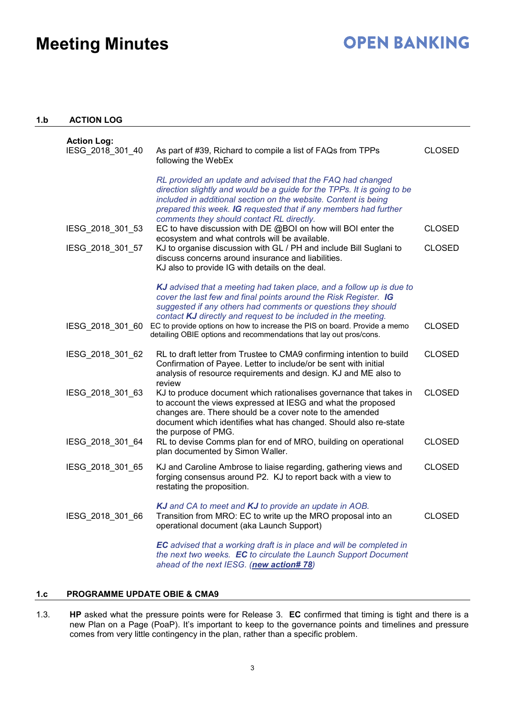### **OPEN BANKING**

#### **1.b ACTION LOG**

| <b>Action Log:</b><br>IESG 2018 301 40 | As part of #39, Richard to compile a list of FAQs from TPPs<br>following the WebEx                                                                                                                                                                                                                                                                                                                                                                                                                                                                                                                                         | <b>CLOSED</b>                  |
|----------------------------------------|----------------------------------------------------------------------------------------------------------------------------------------------------------------------------------------------------------------------------------------------------------------------------------------------------------------------------------------------------------------------------------------------------------------------------------------------------------------------------------------------------------------------------------------------------------------------------------------------------------------------------|--------------------------------|
| IESG_2018_301_53<br>IESG 2018 301 57   | RL provided an update and advised that the FAQ had changed<br>direction slightly and would be a guide for the TPPs. It is going to be<br>included in additional section on the website. Content is being<br>prepared this week. IG requested that if any members had further<br>comments they should contact RL directly.<br>EC to have discussion with DE @BOI on how will BOI enter the<br>ecosystem and what controls will be available.<br>KJ to organise discussion with GL / PH and include Bill Suglani to<br>discuss concerns around insurance and liabilities.<br>KJ also to provide IG with details on the deal. | <b>CLOSED</b><br><b>CLOSED</b> |
|                                        | KJ advised that a meeting had taken place, and a follow up is due to<br>cover the last few and final points around the Risk Register. IG<br>suggested if any others had comments or questions they should<br>contact KJ directly and request to be included in the meeting.                                                                                                                                                                                                                                                                                                                                                |                                |
| IESG 2018 301 60                       | EC to provide options on how to increase the PIS on board. Provide a memo<br>detailing OBIE options and recommendations that lay out pros/cons.                                                                                                                                                                                                                                                                                                                                                                                                                                                                            | <b>CLOSED</b>                  |
| IESG 2018 301 62                       | RL to draft letter from Trustee to CMA9 confirming intention to build<br>Confirmation of Payee. Letter to include/or be sent with initial<br>analysis of resource requirements and design. KJ and ME also to<br>review                                                                                                                                                                                                                                                                                                                                                                                                     | <b>CLOSED</b>                  |
| IESG_2018_301_63                       | KJ to produce document which rationalises governance that takes in<br>to account the views expressed at IESG and what the proposed<br>changes are. There should be a cover note to the amended<br>document which identifies what has changed. Should also re-state<br>the purpose of PMG.                                                                                                                                                                                                                                                                                                                                  | <b>CLOSED</b>                  |
| IESG_2018_301_64                       | RL to devise Comms plan for end of MRO, building on operational<br>plan documented by Simon Waller.                                                                                                                                                                                                                                                                                                                                                                                                                                                                                                                        | <b>CLOSED</b>                  |
| IESG_2018_301_65                       | KJ and Caroline Ambrose to liaise regarding, gathering views and<br>forging consensus around P2. KJ to report back with a view to<br>restating the proposition.                                                                                                                                                                                                                                                                                                                                                                                                                                                            | <b>CLOSED</b>                  |
| IESG 2018 301 66                       | KJ and CA to meet and KJ to provide an update in AOB.<br>Transition from MRO: EC to write up the MRO proposal into an<br>operational document (aka Launch Support)                                                                                                                                                                                                                                                                                                                                                                                                                                                         | <b>CLOSED</b>                  |
|                                        | <b>EC</b> advised that a working draft is in place and will be completed in<br>the next two weeks. EC to circulate the Launch Support Document<br>ahead of the next IESG. (new action# 78)                                                                                                                                                                                                                                                                                                                                                                                                                                 |                                |

#### **1.c PROGRAMME UPDATE OBIE & CMA9**

1.3. **HP** asked what the pressure points were for Release 3. **EC** confirmed that timing is tight and there is a new Plan on a Page (PoaP). It's important to keep to the governance points and timelines and pressure comes from very little contingency in the plan, rather than a specific problem.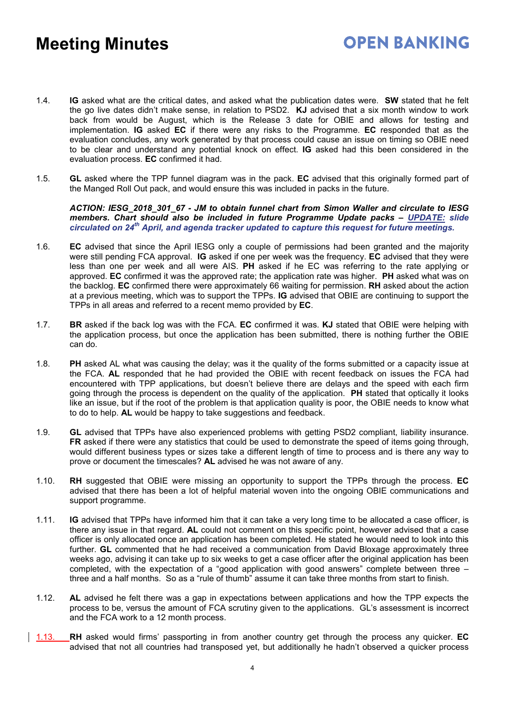- **OPEN BANKING**
- 1.4. **IG** asked what are the critical dates, and asked what the publication dates were. **SW** stated that he felt the go live dates didn't make sense, in relation to PSD2. **KJ** advised that a six month window to work back from would be August, which is the Release 3 date for OBIE and allows for testing and implementation. **IG** asked **EC** if there were any risks to the Programme. **EC** responded that as the evaluation concludes, any work generated by that process could cause an issue on timing so OBIE need to be clear and understand any potential knock on effect. **IG** asked had this been considered in the evaluation process. **EC** confirmed it had.
- 1.5. **GL** asked where the TPP funnel diagram was in the pack. **EC** advised that this originally formed part of the Manged Roll Out pack, and would ensure this was included in packs in the future.

*ACTION: IESG\_2018\_301\_67 - JM to obtain funnel chart from Simon Waller and circulate to IESG members. Chart should also be included in future Programme Update packs – UPDATE: slide circulated on 24th April, and agenda tracker updated to capture this request for future meetings.*

- 1.6. **EC** advised that since the April IESG only a couple of permissions had been granted and the majority were still pending FCA approval. **IG** asked if one per week was the frequency. **EC** advised that they were less than one per week and all were AIS. **PH** asked if he EC was referring to the rate applying or approved. **EC** confirmed it was the approved rate; the application rate was higher. **PH** asked what was on the backlog. **EC** confirmed there were approximately 66 waiting for permission. **RH** asked about the action at a previous meeting, which was to support the TPPs. **IG** advised that OBIE are continuing to support the TPPs in all areas and referred to a recent memo provided by **EC**.
- 1.7. **BR** asked if the back log was with the FCA. **EC** confirmed it was. **KJ** stated that OBIE were helping with the application process, but once the application has been submitted, there is nothing further the OBIE can do.
- 1.8. **PH** asked AL what was causing the delay; was it the quality of the forms submitted or a capacity issue at the FCA. **AL** responded that he had provided the OBIE with recent feedback on issues the FCA had encountered with TPP applications, but doesn't believe there are delays and the speed with each firm going through the process is dependent on the quality of the application. **PH** stated that optically it looks like an issue, but if the root of the problem is that application quality is poor, the OBIE needs to know what to do to help. **AL** would be happy to take suggestions and feedback.
- 1.9. **GL** advised that TPPs have also experienced problems with getting PSD2 compliant, liability insurance. **FR** asked if there were any statistics that could be used to demonstrate the speed of items going through, would different business types or sizes take a different length of time to process and is there any way to prove or document the timescales? **AL** advised he was not aware of any.
- 1.10. **RH** suggested that OBIE were missing an opportunity to support the TPPs through the process. **EC** advised that there has been a lot of helpful material woven into the ongoing OBIE communications and support programme.
- 1.11. **IG** advised that TPPs have informed him that it can take a very long time to be allocated a case officer, is there any issue in that regard. **AL** could not comment on this specific point, however advised that a case officer is only allocated once an application has been completed. He stated he would need to look into this further. **GL** commented that he had received a communication from David Bloxage approximately three weeks ago, advising it can take up to six weeks to get a case officer after the original application has been completed, with the expectation of a "good application with good answers" complete between three – three and a half months. So as a "rule of thumb" assume it can take three months from start to finish.
- 1.12. **AL** advised he felt there was a gap in expectations between applications and how the TPP expects the process to be, versus the amount of FCA scrutiny given to the applications. GL's assessment is incorrect and the FCA work to a 12 month process.
- 1.13. **RH** asked would firms' passporting in from another country get through the process any quicker. **EC** advised that not all countries had transposed yet, but additionally he hadn't observed a quicker process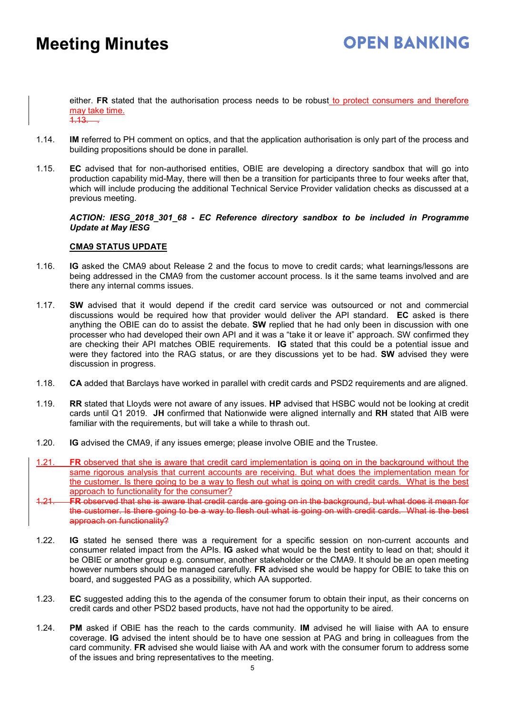either. **FR** stated that the authorisation process needs to be robust to protect consumers and therefore may take time.  $\overline{1.13}$ .

- 1.14. **IM** referred to PH comment on optics, and that the application authorisation is only part of the process and building propositions should be done in parallel.
- 1.15. **EC** advised that for non-authorised entities, OBIE are developing a directory sandbox that will go into production capability mid-May, there will then be a transition for participants three to four weeks after that, which will include producing the additional Technical Service Provider validation checks as discussed at a previous meeting.

#### *ACTION: IESG\_2018\_301\_68 - EC Reference directory sandbox to be included in Programme Update at May IESG*

#### **CMA9 STATUS UPDATE**

- 1.16. **IG** asked the CMA9 about Release 2 and the focus to move to credit cards; what learnings/lessons are being addressed in the CMA9 from the customer account process. Is it the same teams involved and are there any internal comms issues.
- 1.17. **SW** advised that it would depend if the credit card service was outsourced or not and commercial discussions would be required how that provider would deliver the API standard. **EC** asked is there anything the OBIE can do to assist the debate. **SW** replied that he had only been in discussion with one processer who had developed their own API and it was a "take it or leave it" approach. SW confirmed they are checking their API matches OBIE requirements. **IG** stated that this could be a potential issue and were they factored into the RAG status, or are they discussions yet to be had. **SW** advised they were discussion in progress.
- 1.18. **CA** added that Barclays have worked in parallel with credit cards and PSD2 requirements and are aligned.
- 1.19. **RR** stated that Lloyds were not aware of any issues. **HP** advised that HSBC would not be looking at credit cards until Q1 2019. **JH** confirmed that Nationwide were aligned internally and **RH** stated that AIB were familiar with the requirements, but will take a while to thrash out.
- 1.20. **IG** advised the CMA9, if any issues emerge; please involve OBIE and the Trustee.
- 1.21. **FR** observed that she is aware that credit card implementation is going on in the background without the same rigorous analysis that current accounts are receiving. But what does the implementation mean for the customer. Is there going to be a way to flesh out what is going on with credit cards. What is the best approach to functionality for the consumer?
- 1.21. **FR** observed that she is aware that credit cards are going on in the background, but what does it mean for the customer. Is there going to be a way to flesh out what is going on with credit cards. What is the best approach on functionality?
- 1.22. **IG** stated he sensed there was a requirement for a specific session on non-current accounts and consumer related impact from the APIs. **IG** asked what would be the best entity to lead on that; should it be OBIE or another group e.g. consumer, another stakeholder or the CMA9. It should be an open meeting however numbers should be managed carefully. **FR** advised she would be happy for OBIE to take this on board, and suggested PAG as a possibility, which AA supported.
- 1.23. **EC** suggested adding this to the agenda of the consumer forum to obtain their input, as their concerns on credit cards and other PSD2 based products, have not had the opportunity to be aired.
- 1.24. **PM** asked if OBIE has the reach to the cards community. **IM** advised he will liaise with AA to ensure coverage. **IG** advised the intent should be to have one session at PAG and bring in colleagues from the card community. **FR** advised she would liaise with AA and work with the consumer forum to address some of the issues and bring representatives to the meeting.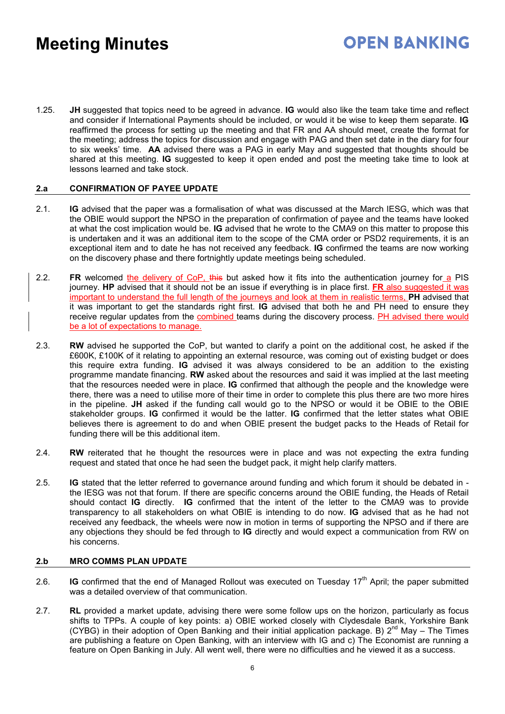1.25. **JH** suggested that topics need to be agreed in advance. **IG** would also like the team take time and reflect and consider if International Payments should be included, or would it be wise to keep them separate. **IG** reaffirmed the process for setting up the meeting and that FR and AA should meet, create the format for the meeting; address the topics for discussion and engage with PAG and then set date in the diary for four to six weeks' time. **AA** advised there was a PAG in early May and suggested that thoughts should be shared at this meeting. **IG** suggested to keep it open ended and post the meeting take time to look at lessons learned and take stock.

#### **2.a CONFIRMATION OF PAYEE UPDATE**

- 2.1. **IG** advised that the paper was a formalisation of what was discussed at the March IESG, which was that the OBIE would support the NPSO in the preparation of confirmation of payee and the teams have looked at what the cost implication would be. **IG** advised that he wrote to the CMA9 on this matter to propose this is undertaken and it was an additional item to the scope of the CMA order or PSD2 requirements, it is an exceptional item and to date he has not received any feedback. **IG** confirmed the teams are now working on the discovery phase and there fortnightly update meetings being scheduled.
- 2.2. **FR** welcomed the delivery of CoP, this but asked how it fits into the authentication journey for a PIS journey. **HP** advised that it should not be an issue if everything is in place first. **FR** also suggested it was important to understand the full length of the journeys and look at them in realistic terms, **PH** advised that it was important to get the standards right first. **IG** advised that both he and PH need to ensure they receive regular updates from the combined teams during the discovery process. PH advised there would be a lot of expectations to manage.
- 2.3. **RW** advised he supported the CoP, but wanted to clarify a point on the additional cost, he asked if the £600K, £100K of it relating to appointing an external resource, was coming out of existing budget or does this require extra funding. **IG** advised it was always considered to be an addition to the existing programme mandate financing. **RW** asked about the resources and said it was implied at the last meeting that the resources needed were in place. **IG** confirmed that although the people and the knowledge were there, there was a need to utilise more of their time in order to complete this plus there are two more hires in the pipeline. **JH** asked if the funding call would go to the NPSO or would it be OBIE to the OBIE stakeholder groups. **IG** confirmed it would be the latter. **IG** confirmed that the letter states what OBIE believes there is agreement to do and when OBIE present the budget packs to the Heads of Retail for funding there will be this additional item.
- 2.4. **RW** reiterated that he thought the resources were in place and was not expecting the extra funding request and stated that once he had seen the budget pack, it might help clarify matters.
- 2.5. **IG** stated that the letter referred to governance around funding and which forum it should be debated in the IESG was not that forum. If there are specific concerns around the OBIE funding, the Heads of Retail should contact **IG** directly. **IG** confirmed that the intent of the letter to the CMA9 was to provide transparency to all stakeholders on what OBIE is intending to do now. **IG** advised that as he had not received any feedback, the wheels were now in motion in terms of supporting the NPSO and if there are any objections they should be fed through to **IG** directly and would expect a communication from RW on his concerns.

#### **2.b MRO COMMS PLAN UPDATE**

- 2.6. **IG** confirmed that the end of Managed Rollout was executed on Tuesday 17<sup>th</sup> April; the paper submitted was a detailed overview of that communication.
- 2.7. **RL** provided a market update, advising there were some follow ups on the horizon, particularly as focus shifts to TPPs. A couple of key points: a) OBIE worked closely with Clydesdale Bank, Yorkshire Bank (CYBG) in their adoption of Open Banking and their initial application package. B)  $2^{nd}$  May – The Times are publishing a feature on Open Banking, with an interview with IG and c) The Economist are running a feature on Open Banking in July. All went well, there were no difficulties and he viewed it as a success.

### **OPEN BANKING**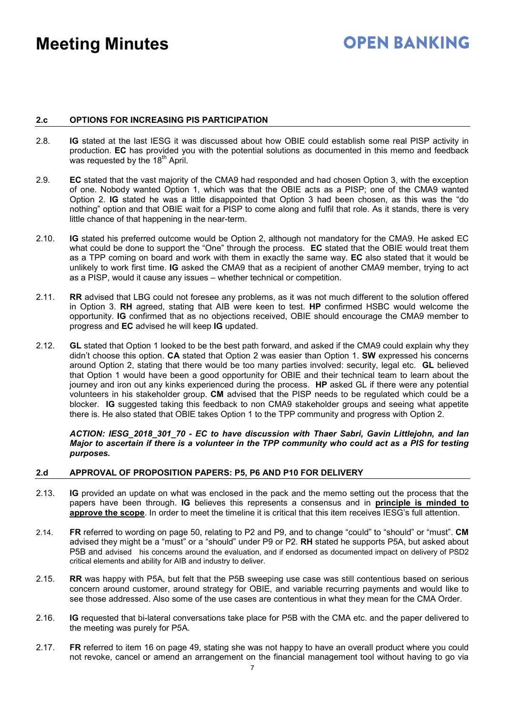## **OPEN BANKING**

#### **2.c OPTIONS FOR INCREASING PIS PARTICIPATION**

- 2.8. **IG** stated at the last IESG it was discussed about how OBIE could establish some real PISP activity in production. **EC** has provided you with the potential solutions as documented in this memo and feedback was requested by the 18<sup>th</sup> April.
- 2.9. **EC** stated that the vast majority of the CMA9 had responded and had chosen Option 3, with the exception of one. Nobody wanted Option 1, which was that the OBIE acts as a PISP; one of the CMA9 wanted Option 2. **IG** stated he was a little disappointed that Option 3 had been chosen, as this was the "do nothing" option and that OBIE wait for a PISP to come along and fulfil that role. As it stands, there is very little chance of that happening in the near-term.
- 2.10. **IG** stated his preferred outcome would be Option 2, although not mandatory for the CMA9. He asked EC what could be done to support the "One" through the process. **EC** stated that the OBIE would treat them as a TPP coming on board and work with them in exactly the same way. **EC** also stated that it would be unlikely to work first time. **IG** asked the CMA9 that as a recipient of another CMA9 member, trying to act as a PISP, would it cause any issues – whether technical or competition.
- 2.11. **RR** advised that LBG could not foresee any problems, as it was not much different to the solution offered in Option 3. **RH** agreed, stating that AIB were keen to test. **HP** confirmed HSBC would welcome the opportunity. **IG** confirmed that as no objections received, OBIE should encourage the CMA9 member to progress and **EC** advised he will keep **IG** updated.
- 2.12. **GL** stated that Option 1 looked to be the best path forward, and asked if the CMA9 could explain why they didn't choose this option. **CA** stated that Option 2 was easier than Option 1. **SW** expressed his concerns around Option 2, stating that there would be too many parties involved: security, legal etc. **GL** believed that Option 1 would have been a good opportunity for OBIE and their technical team to learn about the journey and iron out any kinks experienced during the process. **HP** asked GL if there were any potential volunteers in his stakeholder group. **CM** advised that the PISP needs to be regulated which could be a blocker. **IG** suggested taking this feedback to non CMA9 stakeholder groups and seeing what appetite there is. He also stated that OBIE takes Option 1 to the TPP community and progress with Option 2.

*ACTION: IESG\_2018\_301\_70 - EC to have discussion with Thaer Sabri, Gavin Littlejohn, and Ian* Major to ascertain if there is a volunteer in the TPP community who could act as a PIS for testing *purposes.*

#### **2.d APPROVAL OF PROPOSITION PAPERS: P5, P6 AND P10 FOR DELIVERY**

- 2.13. **IG** provided an update on what was enclosed in the pack and the memo setting out the process that the papers have been through. **IG** believes this represents a consensus and in **principle is minded to approve the scope**. In order to meet the timeline it is critical that this item receives IESG's full attention.
- 2.14. **FR** referred to wording on page 50, relating to P2 and P9, and to change "could" to "should" or "must". **CM** advised they might be a "must" or a "should" under P9 or P2. **RH** stated he supports P5A, but asked about P5B and advised his concerns around the evaluation, and if endorsed as documented impact on delivery of PSD2 critical elements and ability for AIB and industry to deliver.
- 2.15. **RR** was happy with P5A, but felt that the P5B sweeping use case was still contentious based on serious concern around customer, around strategy for OBIE, and variable recurring payments and would like to see those addressed. Also some of the use cases are contentious in what they mean for the CMA Order.
- 2.16. **IG** requested that bi-lateral conversations take place for P5B with the CMA etc. and the paper delivered to the meeting was purely for P5A.
- 2.17. **FR** referred to item 16 on page 49, stating she was not happy to have an overall product where you could not revoke, cancel or amend an arrangement on the financial management tool without having to go via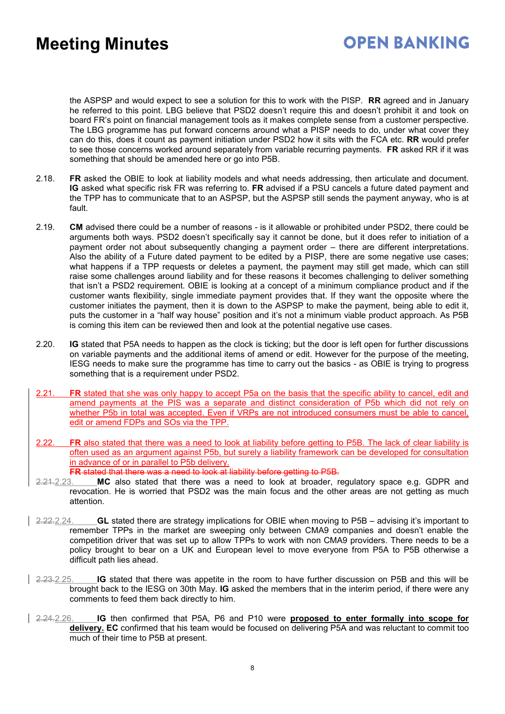## **OPEN BANKING**

the ASPSP and would expect to see a solution for this to work with the PISP. **RR** agreed and in January he referred to this point. LBG believe that PSD2 doesn't require this and doesn't prohibit it and took on board FR's point on financial management tools as it makes complete sense from a customer perspective. The LBG programme has put forward concerns around what a PISP needs to do, under what cover they can do this, does it count as payment initiation under PSD2 how it sits with the FCA etc. **RR** would prefer to see those concerns worked around separately from variable recurring payments. **FR** asked RR if it was something that should be amended here or go into P5B.

- 2.18. **FR** asked the OBIE to look at liability models and what needs addressing, then articulate and document. **IG** asked what specific risk FR was referring to. **FR** advised if a PSU cancels a future dated payment and the TPP has to communicate that to an ASPSP, but the ASPSP still sends the payment anyway, who is at fault.
- 2.19. **CM** advised there could be a number of reasons is it allowable or prohibited under PSD2, there could be arguments both ways. PSD2 doesn't specifically say it cannot be done, but it does refer to initiation of a payment order not about subsequently changing a payment order – there are different interpretations. Also the ability of a Future dated payment to be edited by a PISP, there are some negative use cases; what happens if a TPP requests or deletes a payment, the payment may still get made, which can still raise some challenges around liability and for these reasons it becomes challenging to deliver something that isn't a PSD2 requirement. OBIE is looking at a concept of a minimum compliance product and if the customer wants flexibility, single immediate payment provides that. If they want the opposite where the customer initiates the payment, then it is down to the ASPSP to make the payment, being able to edit it, puts the customer in a "half way house" position and it's not a minimum viable product approach. As P5B is coming this item can be reviewed then and look at the potential negative use cases.
- 2.20. **IG** stated that P5A needs to happen as the clock is ticking; but the door is left open for further discussions on variable payments and the additional items of amend or edit. However for the purpose of the meeting, IESG needs to make sure the programme has time to carry out the basics - as OBIE is trying to progress something that is a requirement under PSD2.
- 2.21. **FR** stated that she was only happy to accept P5a on the basis that the specific ability to cancel, edit and amend payments at the PIS was a separate and distinct consideration of P5b which did not rely on whether P5b in total was accepted. Even if VRPs are not introduced consumers must be able to cancel, edit or amend FDPs and SOs via the TPP.
- **FR** also stated that there was a need to look at liability before getting to P5B. The lack of clear liability is often used as an argument against P5b, but surely a liability framework can be developed for consultation in advance of or in parallel to P5b delivery. **FR** stated that there was a need to look at liability before getting to P5B.
- 2.21.2.23. **MC** also stated that there was a need to look at broader, regulatory space e.g. GDPR and revocation. He is worried that PSD2 was the main focus and the other areas are not getting as much attention.
- 2.22.2.24. **GL** stated there are strategy implications for OBIE when moving to P5B advising it's important to remember TPPs in the market are sweeping only between CMA9 companies and doesn't enable the competition driver that was set up to allow TPPs to work with non CMA9 providers. There needs to be a policy brought to bear on a UK and European level to move everyone from P5A to P5B otherwise a difficult path lies ahead.
- 2.23.2.25. **IG** stated that there was appetite in the room to have further discussion on P5B and this will be brought back to the IESG on 30th May. **IG** asked the members that in the interim period, if there were any comments to feed them back directly to him.
- 2.24.2.26. **IG** then confirmed that P5A, P6 and P10 were **proposed to enter formally into scope for delivery. EC** confirmed that his team would be focused on delivering P5A and was reluctant to commit too much of their time to P5B at present.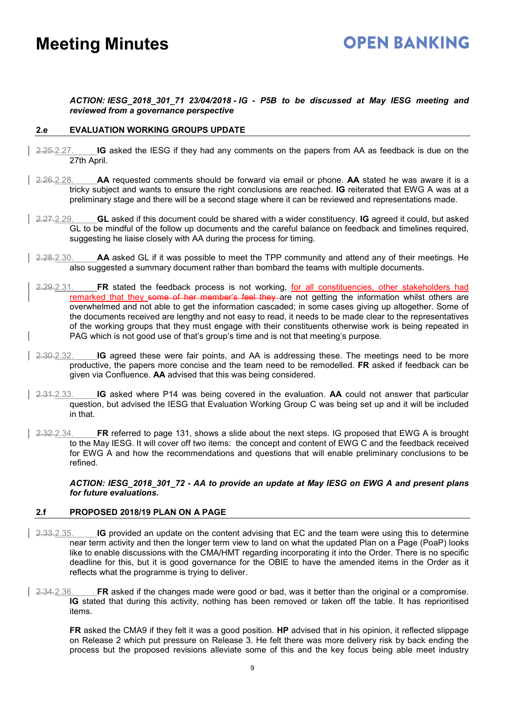## **OPEN BANKING**

#### *ACTION: IESG\_2018\_301\_71 23/04/2018 - IG - P5B to be discussed at May IESG meeting and reviewed from a governance perspective*

#### **2.e EVALUATION WORKING GROUPS UPDATE**

- 2.25.2.27. **IG** asked the IESG if they had any comments on the papers from AA as feedback is due on the 27th April.
- 2.26.2.28. **AA** requested comments should be forward via email or phone. **AA** stated he was aware it is a tricky subject and wants to ensure the right conclusions are reached. **IG** reiterated that EWG A was at a preliminary stage and there will be a second stage where it can be reviewed and representations made.
- 2.27.2.29. **GL** asked if this document could be shared with a wider constituency. **IG** agreed it could, but asked GL to be mindful of the follow up documents and the careful balance on feedback and timelines required, suggesting he liaise closely with AA during the process for timing.
- 2.28.2.30. **AA** asked GL if it was possible to meet the TPP community and attend any of their meetings. He also suggested a summary document rather than bombard the teams with multiple documents.
- 2.29.2.31. **FR** stated the feedback process is not working, for all constituencies, other stakeholders had remarked that they some of her member's feel they are not getting the information whilst others are overwhelmed and not able to get the information cascaded; in some cases giving up altogether. Some of the documents received are lengthy and not easy to read, it needs to be made clear to the representatives of the working groups that they must engage with their constituents otherwise work is being repeated in PAG which is not good use of that's group's time and is not that meeting's purpose.
- 2.30.2.32. **IG** agreed these were fair points, and AA is addressing these. The meetings need to be more productive, the papers more concise and the team need to be remodelled. **FR** asked if feedback can be given via Confluence. **AA** advised that this was being considered.
- 2.31.2.33. **IG** asked where P14 was being covered in the evaluation. **AA** could not answer that particular question, but advised the IESG that Evaluation Working Group C was being set up and it will be included in that.
- 2.32.2.34. **FR** referred to page 131, shows a slide about the next steps. IG proposed that EWG A is brought to the May IESG. It will cover off two items: the concept and content of EWG C and the feedback received for EWG A and how the recommendations and questions that will enable preliminary conclusions to be refined.

*ACTION: IESG\_2018\_301\_72 - AA to provide an update at May IESG on EWG A and present plans for future evaluations.*

#### **2.f PROPOSED 2018/19 PLAN ON A PAGE**

- 2.33.2.35. **IG** provided an update on the content advising that EC and the team were using this to determine near term activity and then the longer term view to land on what the updated Plan on a Page (PoaP) looks like to enable discussions with the CMA/HMT regarding incorporating it into the Order. There is no specific deadline for this, but it is good governance for the OBIE to have the amended items in the Order as it reflects what the programme is trying to deliver.
- 2.34.2.36. **FR** asked if the changes made were good or bad, was it better than the original or a compromise. **IG** stated that during this activity, nothing has been removed or taken off the table. It has reprioritised items.

**FR** asked the CMA9 if they felt it was a good position. **HP** advised that in his opinion, it reflected slippage on Release 2 which put pressure on Release 3. He felt there was more delivery risk by back ending the process but the proposed revisions alleviate some of this and the key focus being able meet industry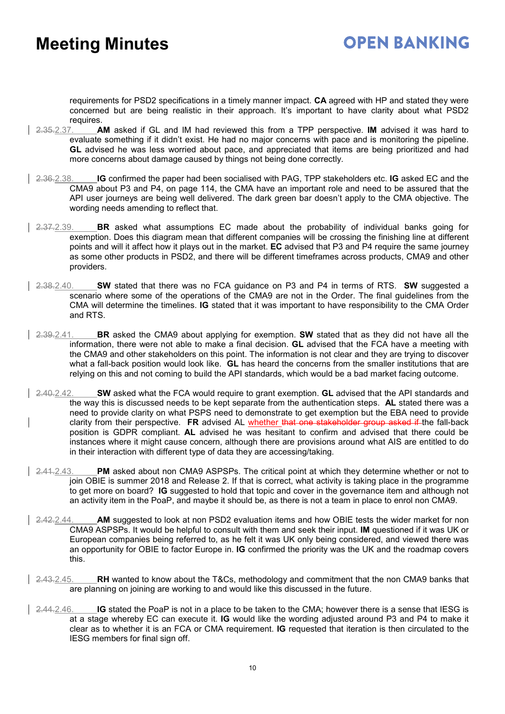### **OPEN BANKING**

requirements for PSD2 specifications in a timely manner impact. **CA** agreed with HP and stated they were concerned but are being realistic in their approach. It's important to have clarity about what PSD2

- requires.<br>2.35.2.37. **A** 2.35.2.37. **AM** asked if GL and IM had reviewed this from a TPP perspective. **IM** advised it was hard to evaluate something if it didn't exist. He had no major concerns with pace and is monitoring the pipeline. **GL** advised he was less worried about pace, and appreciated that items are being prioritized and had more concerns about damage caused by things not being done correctly.
- 2.36.2.38. **IG** confirmed the paper had been socialised with PAG, TPP stakeholders etc. **IG** asked EC and the CMA9 about P3 and P4, on page 114, the CMA have an important role and need to be assured that the API user journeys are being well delivered. The dark green bar doesn't apply to the CMA objective. The wording needs amending to reflect that.
- 2.37.2.39. **BR** asked what assumptions EC made about the probability of individual banks going for exemption. Does this diagram mean that different companies will be crossing the finishing line at different points and will it affect how it plays out in the market. **EC** advised that P3 and P4 require the same journey as some other products in PSD2, and there will be different timeframes across products, CMA9 and other providers.
- 2.38.2.40. **SW** stated that there was no FCA guidance on P3 and P4 in terms of RTS. **SW** suggested a scenario where some of the operations of the CMA9 are not in the Order. The final guidelines from the CMA will determine the timelines. **IG** stated that it was important to have responsibility to the CMA Order and RTS.
- 2.39.2.41. **BR** asked the CMA9 about applying for exemption. **SW** stated that as they did not have all the information, there were not able to make a final decision. **GL** advised that the FCA have a meeting with the CMA9 and other stakeholders on this point. The information is not clear and they are trying to discover what a fall-back position would look like. **GL** has heard the concerns from the smaller institutions that are relying on this and not coming to build the API standards, which would be a bad market facing outcome.
- 2.40.2.42. **SW** asked what the FCA would require to grant exemption. **GL** advised that the API standards and the way this is discussed needs to be kept separate from the authentication steps. **AL** stated there was a need to provide clarity on what PSPS need to demonstrate to get exemption but the EBA need to provide clarity from their perspective. **FR** advised AL whether that one stakeholder group asked if the fall-back position is GDPR compliant. **AL** advised he was hesitant to confirm and advised that there could be instances where it might cause concern, although there are provisions around what AIS are entitled to do in their interaction with different type of data they are accessing/taking.
- 2.41.2.43. **PM** asked about non CMA9 ASPSPs. The critical point at which they determine whether or not to join OBIE is summer 2018 and Release 2. If that is correct, what activity is taking place in the programme to get more on board? **IG** suggested to hold that topic and cover in the governance item and although not an activity item in the PoaP, and maybe it should be, as there is not a team in place to enrol non CMA9.
- 2.42.2.44. **AM** suggested to look at non PSD2 evaluation items and how OBIE tests the wider market for non CMA9 ASPSPs. It would be helpful to consult with them and seek their input. **IM** questioned if it was UK or European companies being referred to, as he felt it was UK only being considered, and viewed there was an opportunity for OBIE to factor Europe in. **IG** confirmed the priority was the UK and the roadmap covers this.
- 2.43.2.45. **RH** wanted to know about the T&Cs, methodology and commitment that the non CMA9 banks that are planning on joining are working to and would like this discussed in the future.
- 2.44.2.46. **IG** stated the PoaP is not in a place to be taken to the CMA; however there is a sense that IESG is at a stage whereby EC can execute it. **IG** would like the wording adjusted around P3 and P4 to make it clear as to whether it is an FCA or CMA requirement. **IG** requested that iteration is then circulated to the IESG members for final sign off.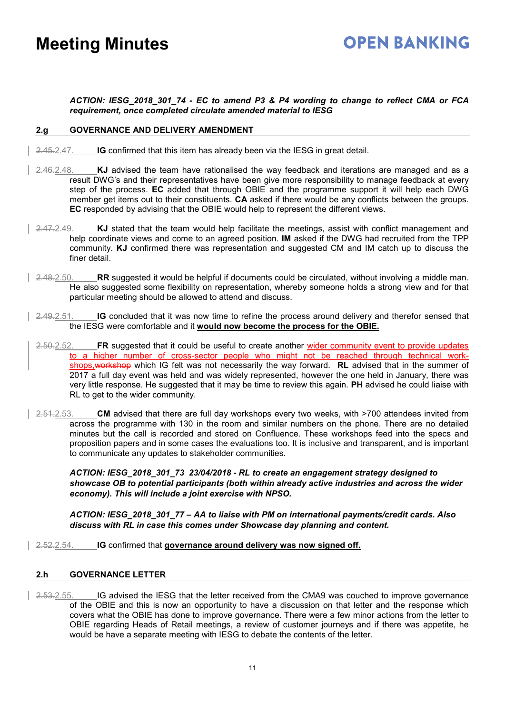### **OPEN BANKING**

*ACTION: IESG\_2018\_301\_74 - EC to amend P3 & P4 wording to change to reflect CMA or FCA requirement, once completed circulate amended material to IESG*

#### **2.g GOVERNANCE AND DELIVERY AMENDMENT**

- 2.45.2.47. **IG** confirmed that this item has already been via the IESG in great detail.
- 2.46.2.48. **KJ** advised the team have rationalised the way feedback and iterations are managed and as a result DWG's and their representatives have been give more responsibility to manage feedback at every step of the process. **EC** added that through OBIE and the programme support it will help each DWG member get items out to their constituents. **CA** asked if there would be any conflicts between the groups. **EC** responded by advising that the OBIE would help to represent the different views.
- 2.47.2.49. **KJ** stated that the team would help facilitate the meetings, assist with conflict management and help coordinate views and come to an agreed position. **IM** asked if the DWG had recruited from the TPP community. **KJ** confirmed there was representation and suggested CM and IM catch up to discuss the finer detail.
- 2.48.2.50. **RR** suggested it would be helpful if documents could be circulated, without involving a middle man. He also suggested some flexibility on representation, whereby someone holds a strong view and for that particular meeting should be allowed to attend and discuss.
- 2.49.2.51. **IG** concluded that it was now time to refine the process around delivery and therefor sensed that the IESG were comfortable and it **would now become the process for the OBIE.**
- 2.50.2.52. **FR** suggested that it could be useful to create another wider community event to provide updates to a higher number of cross-sector people who might not be reached through technical workshops,workshop which IG felt was not necessarily the way forward. **RL** advised that in the summer of 2017 a full day event was held and was widely represented, however the one held in January, there was very little response. He suggested that it may be time to review this again. **PH** advised he could liaise with RL to get to the wider community.
- 2.51.2.53. **CM** advised that there are full day workshops every two weeks, with >700 attendees invited from across the programme with 130 in the room and similar numbers on the phone. There are no detailed minutes but the call is recorded and stored on Confluence. These workshops feed into the specs and proposition papers and in some cases the evaluations too. It is inclusive and transparent, and is important to communicate any updates to stakeholder communities.

*ACTION: IESG\_2018\_301\_73 23/04/2018 - RL to create an engagement strategy designed to showcase OB to potential participants (both within already active industries and across the wider economy). This will include a joint exercise with NPSO.*

*ACTION: IESG\_2018\_301\_77 – AA to liaise with PM on international payments/credit cards. Also discuss with RL in case this comes under Showcase day planning and content.*

2.52.2.54. **IG** confirmed that **governance around delivery was now signed off.**

#### **2.h GOVERNANCE LETTER**

2.53.2.55. IG advised the IESG that the letter received from the CMA9 was couched to improve governance of the OBIE and this is now an opportunity to have a discussion on that letter and the response which covers what the OBIE has done to improve governance. There were a few minor actions from the letter to OBIE regarding Heads of Retail meetings, a review of customer journeys and if there was appetite, he would be have a separate meeting with IESG to debate the contents of the letter.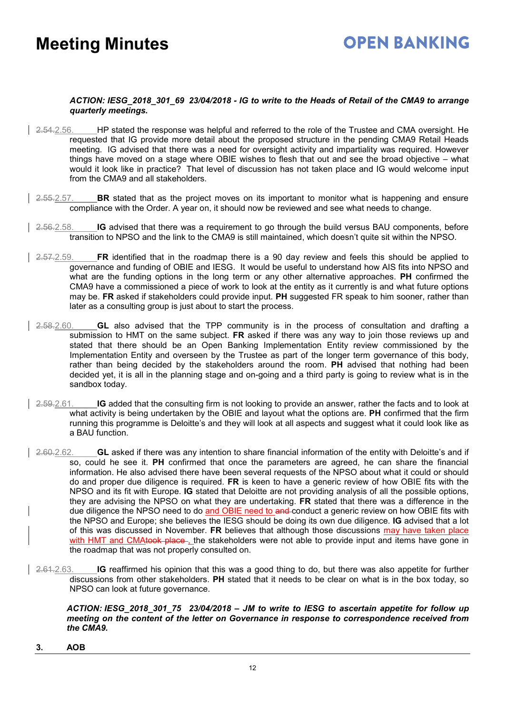## **OPEN BANKING**

#### *ACTION: IESG\_2018\_301\_69 23/04/2018 - IG to write to the Heads of Retail of the CMA9 to arrange quarterly meetings.*

- 2.54.2.56. HP stated the response was helpful and referred to the role of the Trustee and CMA oversight. He requested that IG provide more detail about the proposed structure in the pending CMA9 Retail Heads meeting. IG advised that there was a need for oversight activity and impartiality was required. However things have moved on a stage where OBIE wishes to flesh that out and see the broad objective – what would it look like in practice? That level of discussion has not taken place and IG would welcome input from the CMA9 and all stakeholders.
- 2.55.2.57. **BR** stated that as the project moves on its important to monitor what is happening and ensure compliance with the Order. A year on, it should now be reviewed and see what needs to change.
- 2.56.2.58. **IG** advised that there was a requirement to go through the build versus BAU components, before transition to NPSO and the link to the CMA9 is still maintained, which doesn't quite sit within the NPSO.
- 2.57.2.59. **FR** identified that in the roadmap there is a 90 day review and feels this should be applied to governance and funding of OBIE and IESG. It would be useful to understand how AIS fits into NPSO and what are the funding options in the long term or any other alternative approaches. **PH** confirmed the CMA9 have a commissioned a piece of work to look at the entity as it currently is and what future options may be. **FR** asked if stakeholders could provide input. **PH** suggested FR speak to him sooner, rather than later as a consulting group is just about to start the process.
- 2.58.2.60. **GL** also advised that the TPP community is in the process of consultation and drafting a submission to HMT on the same subject. **FR** asked if there was any way to join those reviews up and stated that there should be an Open Banking Implementation Entity review commissioned by the Implementation Entity and overseen by the Trustee as part of the longer term governance of this body, rather than being decided by the stakeholders around the room. **PH** advised that nothing had been decided yet, it is all in the planning stage and on-going and a third party is going to review what is in the sandbox today.
- 2.59.2.61. **IG** added that the consulting firm is not looking to provide an answer, rather the facts and to look at what activity is being undertaken by the OBIE and layout what the options are. **PH** confirmed that the firm running this programme is Deloitte's and they will look at all aspects and suggest what it could look like as a BAU function.
- 2.60.2.62. **GL** asked if there was any intention to share financial information of the entity with Deloitte's and if so, could he see it. **PH** confirmed that once the parameters are agreed, he can share the financial information. He also advised there have been several requests of the NPSO about what it could or should do and proper due diligence is required. **FR** is keen to have a generic review of how OBIE fits with the NPSO and its fit with Europe. **IG** stated that Deloitte are not providing analysis of all the possible options, they are advising the NPSO on what they are undertaking. **FR** stated that there was a difference in the due diligence the NPSO need to do and OBIE need to and conduct a generic review on how OBIE fits with the NPSO and Europe; she believes the IESG should be doing its own due diligence. **IG** advised that a lot of this was discussed in November. **FR** believes that although those discussions may have taken place with HMT and CMAtook place, the stakeholders were not able to provide input and items have gone in the roadmap that was not properly consulted on.
- 2.61.2.63. **IG** reaffirmed his opinion that this was a good thing to do, but there was also appetite for further discussions from other stakeholders. **PH** stated that it needs to be clear on what is in the box today, so NPSO can look at future governance.

#### *ACTION: IESG\_2018\_301\_75 23/04/2018 – JM to write to IESG to ascertain appetite for follow up meeting on the content of the letter on Governance in response to correspondence received from the CMA9.*

**3. AOB**